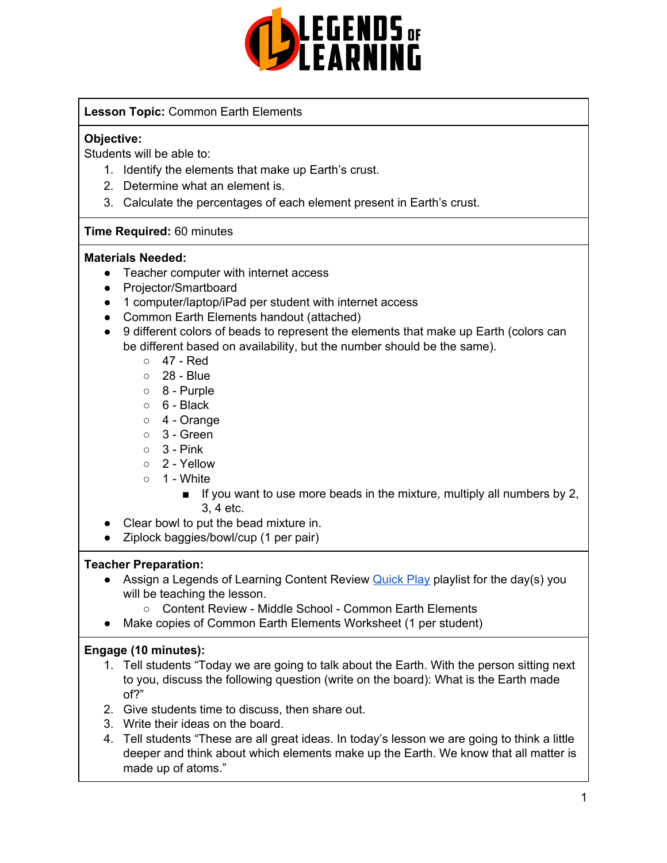

## **Lesson Topic:** Common Earth Elements

#### **Objective:**

Students will be able to:

- 1. Identify the elements that make up Earth's crust.
- 2. Determine what an element is.
- 3. Calculate the percentages of each element present in Earth's crust.

## **Time Required:** 60 minutes

#### **Materials Needed:**

- Teacher computer with internet access
- Projector/Smartboard
- 1 computer/laptop/iPad per student with internet access
- Common Earth Elements handout (attached)
- 9 different colors of beads to represent the elements that make up Earth (colors can be different based on availability, but the number should be the same).
	- 47 Red
	- 28 Blue
	- 8 Purple
	- $\circ$  6 Black
	- 4 Orange
	- $\circ$  3 Green
	- $\circ$  3 Pink
	- $\circ$  2 Yellow
	- $\circ$  1 White
		- $\blacksquare$  If you want to use more beads in the mixture, multiply all numbers by 2, 3, 4 etc.
- Clear bowl to put the bead mixture in.
- Ziplock baggies/bowl/cup (1 per pair)

#### **Teacher Preparation:**

- Assign a Legends of Learning Content Review **[Quick](https://intercom.help/legends-of-learning/en/articles/2701866-assigning-a-quick-play-playlist) Play playlist for the day(s)** you will be teaching the lesson.
	- Content Review Middle School Common Earth Elements
- Make copies of Common Earth Elements Worksheet (1 per student)

# **Engage (10 minutes):**

- 1. Tell students "Today we are going to talk about the Earth. With the person sitting next to you, discuss the following question (write on the board): What is the Earth made of?"
- 2. Give students time to discuss, then share out.
- 3. Write their ideas on the board.
- 4. Tell students "These are all great ideas. In today's lesson we are going to think a little deeper and think about which elements make up the Earth. We know that all matter is made up of atoms."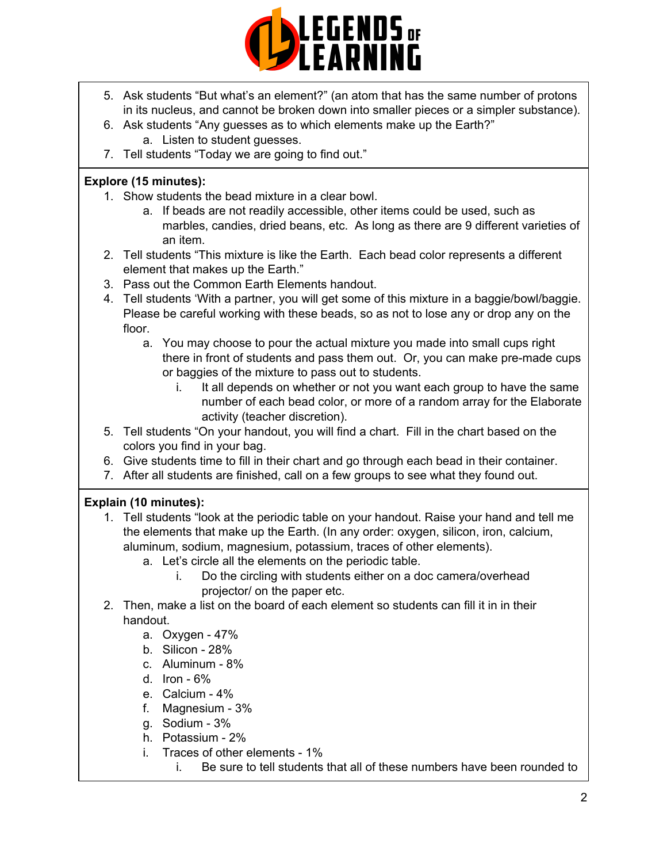

- 5. Ask students "But what's an element?" (an atom that has the same number of protons in its nucleus, and cannot be broken down into smaller pieces or a simpler substance).
- 6. Ask students "Any guesses as to which elements make up the Earth?" a. Listen to student guesses.
- 7. Tell students "Today we are going to find out."

## **Explore (15 minutes):**

- 1. Show students the bead mixture in a clear bowl.
	- a. If beads are not readily accessible, other items could be used, such as marbles, candies, dried beans, etc. As long as there are 9 different varieties of an item.
- 2. Tell students "This mixture is like the Earth. Each bead color represents a different element that makes up the Earth."
- 3. Pass out the Common Earth Elements handout.
- 4. Tell students 'With a partner, you will get some of this mixture in a baggie/bowl/baggie. Please be careful working with these beads, so as not to lose any or drop any on the floor.
	- a. You may choose to pour the actual mixture you made into small cups right there in front of students and pass them out. Or, you can make pre-made cups or baggies of the mixture to pass out to students.
		- i. It all depends on whether or not you want each group to have the same number of each bead color, or more of a random array for the Elaborate activity (teacher discretion).
- 5. Tell students "On your handout, you will find a chart. Fill in the chart based on the colors you find in your bag.
- 6. Give students time to fill in their chart and go through each bead in their container.
- 7. After all students are finished, call on a few groups to see what they found out.

# **Explain (10 minutes):**

- 1. Tell students "look at the periodic table on your handout. Raise your hand and tell me the elements that make up the Earth. (In any order: oxygen, silicon, iron, calcium, aluminum, sodium, magnesium, potassium, traces of other elements).
	- a. Let's circle all the elements on the periodic table.
		- i. Do the circling with students either on a doc camera/overhead projector/ on the paper etc.
- 2. Then, make a list on the board of each element so students can fill it in in their handout.
	- a. Oxygen 47%
	- b. Silicon 28%
	- c. Aluminum 8%
	- d. Iron 6%
	- e. Calcium 4%
	- f. Magnesium 3%
	- g. Sodium 3%
	- h. Potassium 2%
	- i. Traces of other elements 1%
		- i. Be sure to tell students that all of these numbers have been rounded to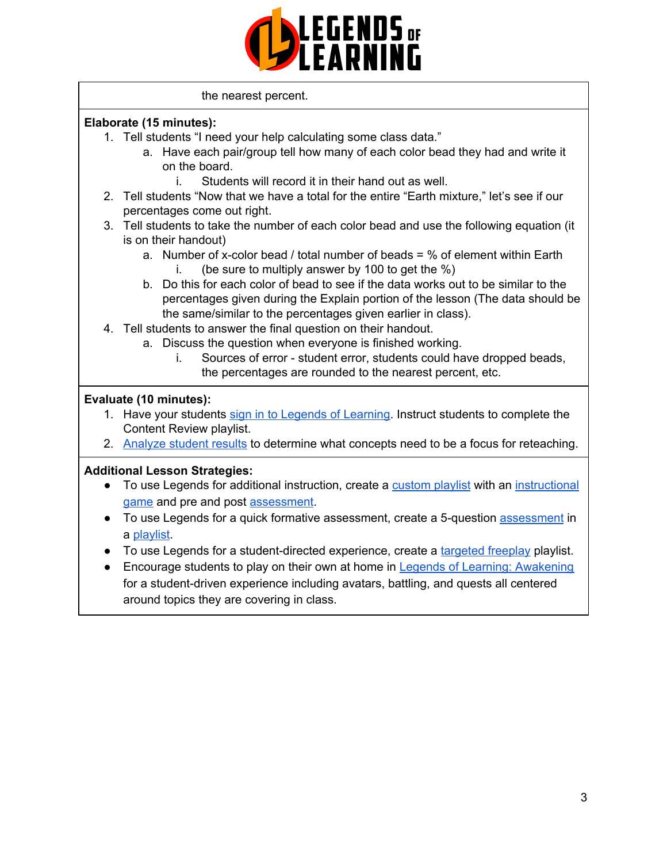

#### the nearest percent.

#### **Elaborate (15 minutes):**

- 1. Tell students "I need your help calculating some class data."
	- a. Have each pair/group tell how many of each color bead they had and write it on the board.
		- i. Students will record it in their hand out as well.
- 2. Tell students "Now that we have a total for the entire "Earth mixture," let's see if our percentages come out right.
- 3. Tell students to take the number of each color bead and use the following equation (it is on their handout)
	- a. Number of x-color bead / total number of beads  $=$  % of element within Earth i. (be sure to multiply answer by 100 to get the  $\%$ )
	- b. Do this for each color of bead to see if the data works out to be similar to the percentages given during the Explain portion of the lesson (The data should be the same/similar to the percentages given earlier in class).
- 4. Tell students to answer the final question on their handout.
	- a. Discuss the question when everyone is finished working.
		- i. Sources of error student error, students could have dropped beads, the percentages are rounded to the nearest percent, etc.

#### **Evaluate (10 minutes):**

- 1. Have your students sign in to Legends of [Learning](https://intercom.help/legends-of-learning/en/articles/2154920-students-joining-a-playlist). Instruct students to complete the Content Review playlist.
- 2. [Analyze](https://intercom.help/legends-of-learning/en/articles/2154918-tracking-student-progress-and-performance) student results to determine what concepts need to be a focus for reteaching.

#### **Additional Lesson Strategies:**

- To use Legends for additional instruction, create a [custom](https://intercom.help/legends-of-learning/en/articles/2154910-creating-a-playlist) playlist with an [instructional](https://intercom.help/legends-of-learning/en/articles/3505828-types-of-games) [game](https://intercom.help/legends-of-learning/en/articles/3505828-types-of-games) and pre and post [assessment](https://intercom.help/legends-of-learning/en/articles/2154913-adding-assessments-to-a-playlist).
- To use Legends for a quick formative [assessment](https://intercom.help/legends-of-learning/en/articles/2154913-adding-assessments-to-a-playlist), create a 5-question assessment in a [playlist](https://intercom.help/legends-of-learning/en/articles/2154910-creating-a-playlist).
- To use Legends for a student-directed experience, create a [targeted](https://intercom.help/legends-of-learning/en/articles/3340814-targeted-freeplay) freeplay playlist.
- Encourage students to play on their own at home in Legends of Learning: [Awakening](https://intercom.help/legends-of-learning/en/articles/2425490-legends-of-learning-awakening) for a student-driven experience including avatars, battling, and quests all centered around topics they are covering in class.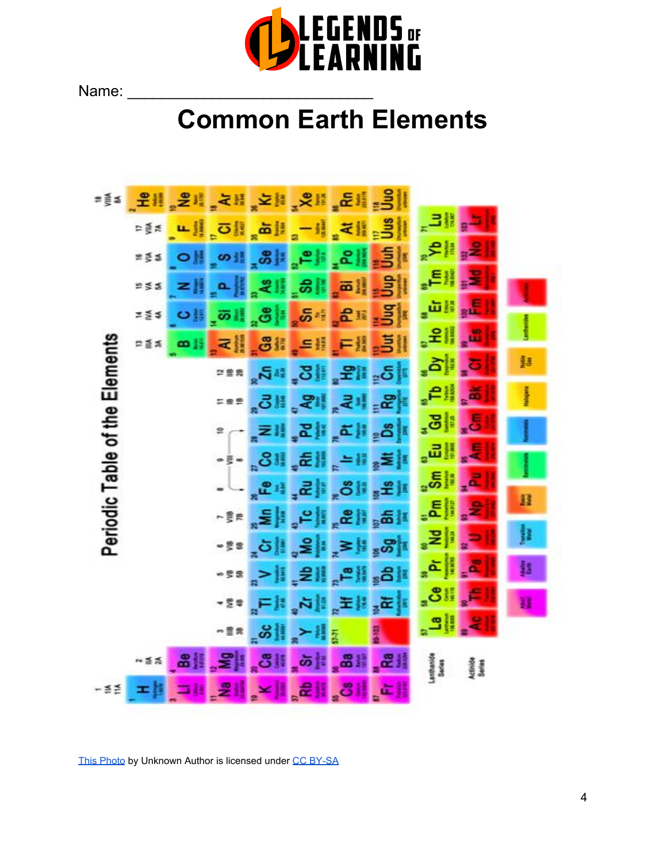

Name:

# **Common Earth Elements**



[This Photo](http://chemistry.stackexchange.com/questions/33453/periodic-table-groups-which-grouping-is-right) by Unknown Autho[r](https://creativecommons.org/licenses/by-sa/3.0/) is licensed under [CC BY-SA](https://creativecommons.org/licenses/by-sa/3.0/)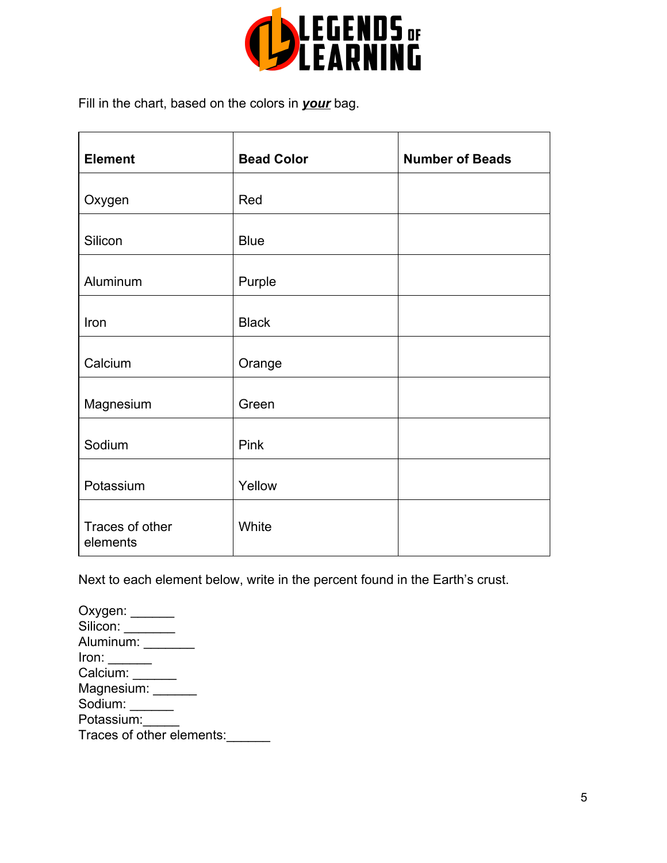

Fill in the chart, based on the colors in *your* bag.

| <b>Element</b>              | <b>Bead Color</b> | <b>Number of Beads</b> |
|-----------------------------|-------------------|------------------------|
| Oxygen                      | Red               |                        |
| Silicon                     | <b>Blue</b>       |                        |
| Aluminum                    | Purple            |                        |
| Iron                        | <b>Black</b>      |                        |
| Calcium                     | Orange            |                        |
| Magnesium                   | Green             |                        |
| Sodium                      | Pink              |                        |
| Potassium                   | Yellow            |                        |
| Traces of other<br>elements | White             |                        |

Next to each element below, write in the percent found in the Earth's crust.

Oxygen: Silicon: \_\_\_\_\_\_\_ Aluminum: \_\_\_\_\_\_\_\_\_\_ Iron: \_\_\_\_\_\_ Calcium: \_\_\_\_\_\_ Magnesium: \_\_\_\_\_ Sodium: \_\_\_\_\_\_ Potassium: Traces of other elements:\_\_\_\_\_\_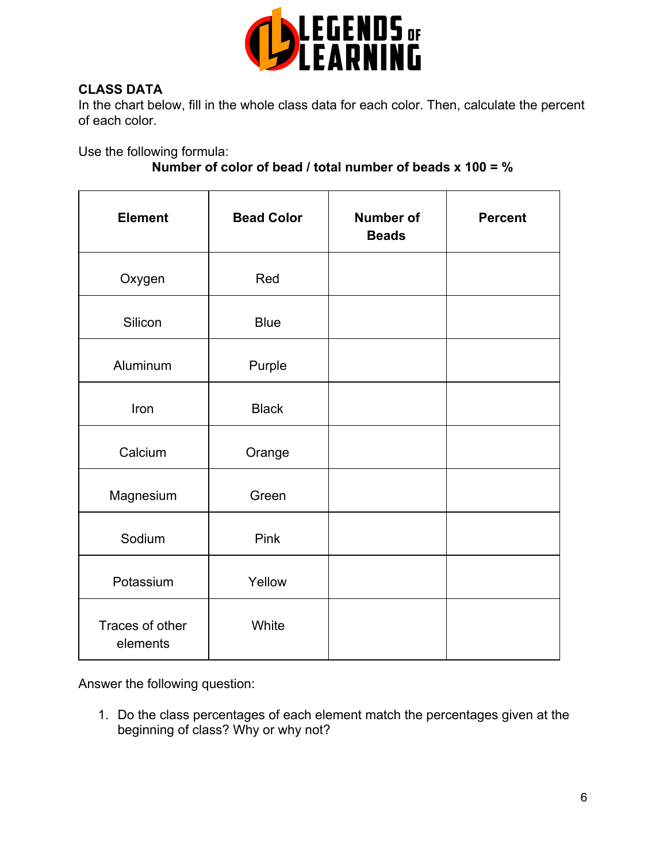

# **CLASS DATA**

In the chart below, fill in the whole class data for each color. Then, calculate the percent of each color.

Use the following formula:

# **Number of color of bead / total number of beads x 100 = %**

| <b>Element</b>              | <b>Bead Color</b> | <b>Number of</b><br><b>Beads</b> | <b>Percent</b> |
|-----------------------------|-------------------|----------------------------------|----------------|
| Oxygen                      | Red               |                                  |                |
| Silicon                     | <b>Blue</b>       |                                  |                |
| Aluminum                    | Purple            |                                  |                |
| Iron                        | <b>Black</b>      |                                  |                |
| Calcium                     | Orange            |                                  |                |
| Magnesium                   | Green             |                                  |                |
| Sodium                      | Pink              |                                  |                |
| Potassium                   | Yellow            |                                  |                |
| Traces of other<br>elements | White             |                                  |                |

Answer the following question:

1. Do the class percentages of each element match the percentages given at the beginning of class? Why or why not?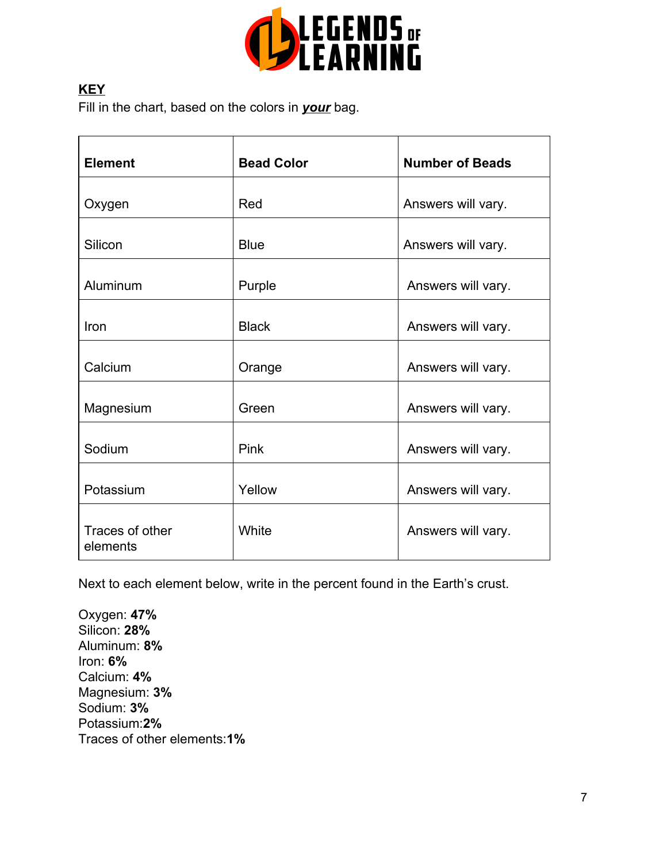

# **KEY**

Fill in the chart, based on the colors in *your* bag.

| <b>Element</b>              | <b>Bead Color</b> | <b>Number of Beads</b> |  |
|-----------------------------|-------------------|------------------------|--|
| Oxygen                      | Red               | Answers will vary.     |  |
| Silicon                     | <b>Blue</b>       | Answers will vary.     |  |
| Aluminum                    | Purple            | Answers will vary.     |  |
| Iron                        | <b>Black</b>      | Answers will vary.     |  |
| Calcium                     | Orange            | Answers will vary.     |  |
| Magnesium                   | Green             | Answers will vary.     |  |
| Sodium                      | <b>Pink</b>       | Answers will vary.     |  |
| Potassium                   | Yellow            | Answers will vary.     |  |
| Traces of other<br>elements | White             | Answers will vary.     |  |

Next to each element below, write in the percent found in the Earth's crust.

Oxygen: **47%** Silicon: **28%** Aluminum: **8%** Iron: **6%** Calcium: **4%** Magnesium: **3%** Sodium: **3%** Potassium:**2%** Traces of other elements:**1%**